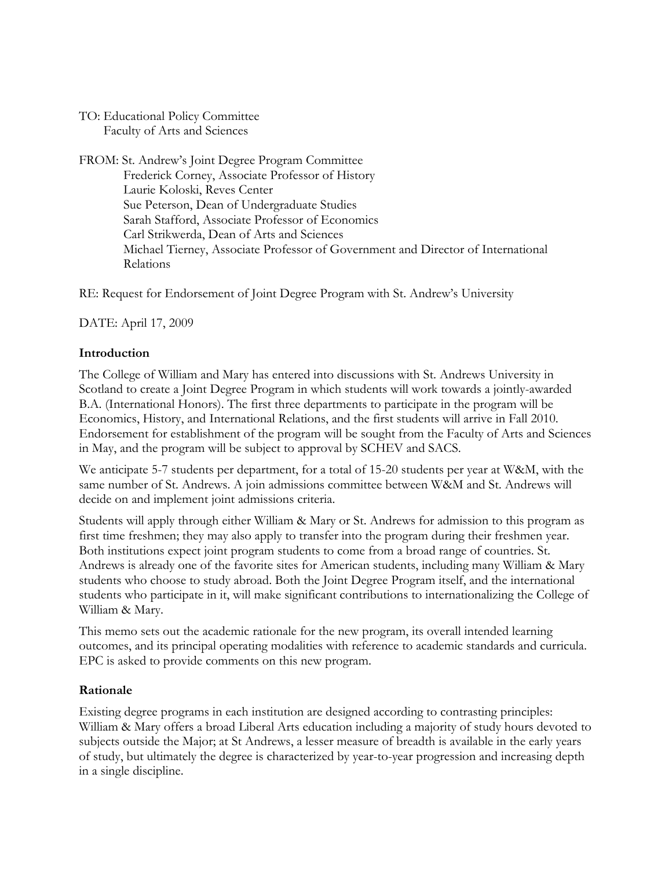TO: Educational Policy Committee Faculty of Arts and Sciences

FROM: St. Andrew's Joint Degree Program Committee Frederick Corney, Associate Professor of History Laurie Koloski, Reves Center Sue Peterson, Dean of Undergraduate Studies Sarah Stafford, Associate Professor of Economics Carl Strikwerda, Dean of Arts and Sciences Michael Tierney, Associate Professor of Government and Director of International Relations

RE: Request for Endorsement of Joint Degree Program with St. Andrew's University

DATE: April 17, 2009

### **Introduction**

The College of William and Mary has entered into discussions with St. Andrews University in Scotland to create a Joint Degree Program in which students will work towards a jointly-awarded B.A. (International Honors). The first three departments to participate in the program will be Economics, History, and International Relations, and the first students will arrive in Fall 2010. Endorsement for establishment of the program will be sought from the Faculty of Arts and Sciences in May, and the program will be subject to approval by SCHEV and SACS.

We anticipate 5-7 students per department, for a total of 15-20 students per year at W&M, with the same number of St. Andrews. A join admissions committee between W&M and St. Andrews will decide on and implement joint admissions criteria.

Students will apply through either William & Mary or St. Andrews for admission to this program as first time freshmen; they may also apply to transfer into the program during their freshmen year. Both institutions expect joint program students to come from a broad range of countries. St. Andrews is already one of the favorite sites for American students, including many William & Mary students who choose to study abroad. Both the Joint Degree Program itself, and the international students who participate in it, will make significant contributions to internationalizing the College of William & Mary.

This memo sets out the academic rationale for the new program, its overall intended learning outcomes, and its principal operating modalities with reference to academic standards and curricula. EPC is asked to provide comments on this new program.

### **Rationale**

Existing degree programs in each institution are designed according to contrasting principles: William & Mary offers a broad Liberal Arts education including a majority of study hours devoted to subjects outside the Major; at St Andrews, a lesser measure of breadth is available in the early years of study, but ultimately the degree is characterized by year-to-year progression and increasing depth in a single discipline.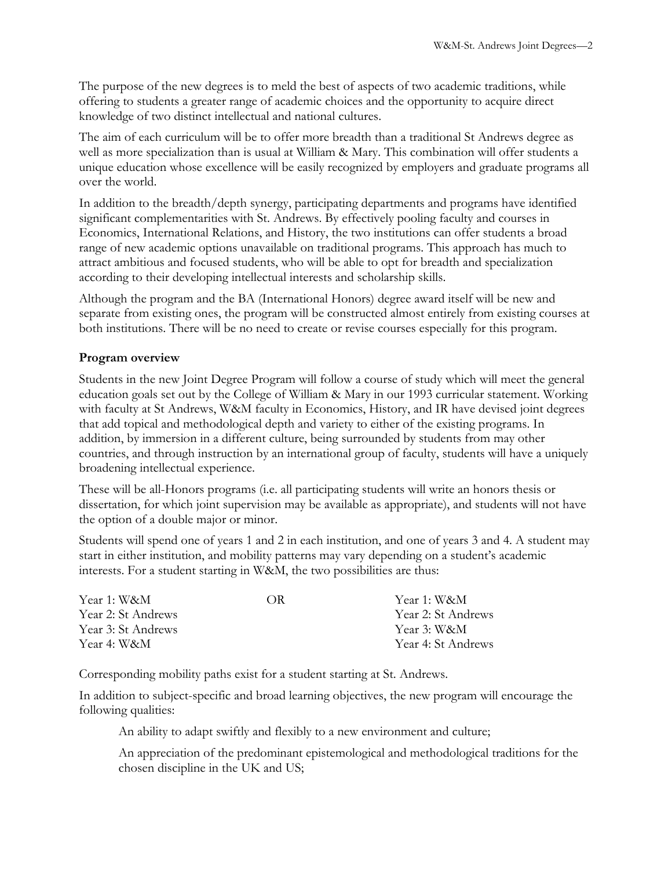The purpose of the new degrees is to meld the best of aspects of two academic traditions, while offering to students a greater range of academic choices and the opportunity to acquire direct knowledge of two distinct intellectual and national cultures.

The aim of each curriculum will be to offer more breadth than a traditional St Andrews degree as well as more specialization than is usual at William & Mary. This combination will offer students a unique education whose excellence will be easily recognized by employers and graduate programs all over the world.

In addition to the breadth/depth synergy, participating departments and programs have identified significant complementarities with St. Andrews. By effectively pooling faculty and courses in Economics, International Relations, and History, the two institutions can offer students a broad range of new academic options unavailable on traditional programs. This approach has much to attract ambitious and focused students, who will be able to opt for breadth and specialization according to their developing intellectual interests and scholarship skills.

Although the program and the BA (International Honors) degree award itself will be new and separate from existing ones, the program will be constructed almost entirely from existing courses at both institutions. There will be no need to create or revise courses especially for this program.

## **Program overview**

Students in the new Joint Degree Program will follow a course of study which will meet the general education goals set out by the College of William & Mary in our 1993 curricular statement. Working with faculty at St Andrews, W&M faculty in Economics, History, and IR have devised joint degrees that add topical and methodological depth and variety to either of the existing programs. In addition, by immersion in a different culture, being surrounded by students from may other countries, and through instruction by an international group of faculty, students will have a uniquely broadening intellectual experience.

These will be all-Honors programs (i.e. all participating students will write an honors thesis or dissertation, for which joint supervision may be available as appropriate), and students will not have the option of a double major or minor.

Students will spend one of years 1 and 2 in each institution, and one of years 3 and 4. A student may start in either institution, and mobility patterns may vary depending on a student's academic interests. For a student starting in W&M, the two possibilities are thus:

| Year 1: W&M        | OR) | Year 1: W&M        |
|--------------------|-----|--------------------|
| Year 2: St Andrews |     | Year 2: St Andrews |
| Year 3: St Andrews |     | Year 3: W&M        |
| Year 4: W&M        |     | Year 4: St Andrews |

Corresponding mobility paths exist for a student starting at St. Andrews.

In addition to subject-specific and broad learning objectives, the new program will encourage the following qualities:

An ability to adapt swiftly and flexibly to a new environment and culture;

An appreciation of the predominant epistemological and methodological traditions for the chosen discipline in the UK and US;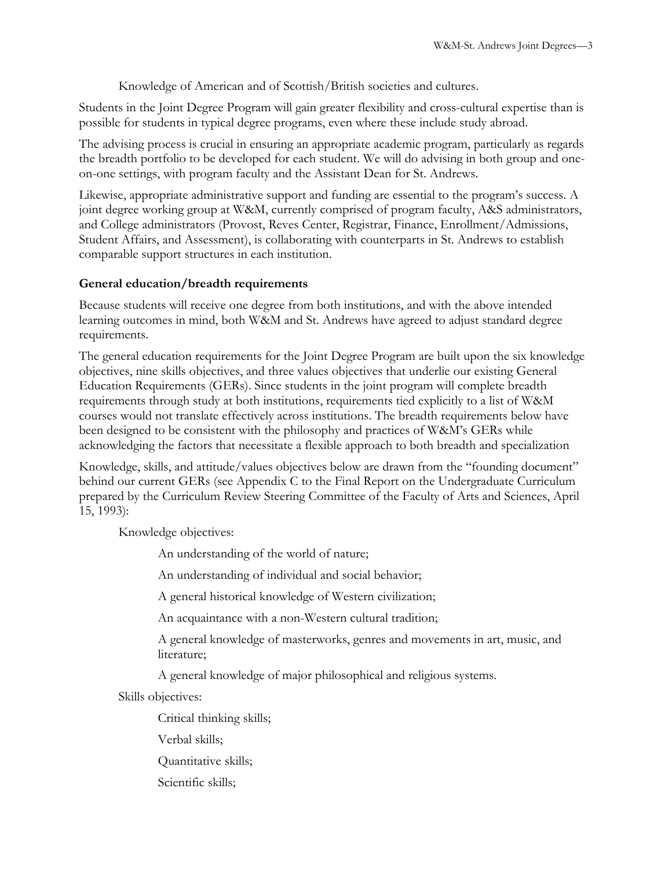Knowledge of American and of Scottish/British societies and cultures.

Students in the Joint Degree Program will gain greater flexibility and cross-cultural expertise than is possible for students in typical degree programs, even where these include study abroad.

The advising process is crucial in ensuring an appropriate academic program, particularly as regards the breadth portfolio to be developed for each student. We will do advising in both group and oneon-one settings, with program faculty and the Assistant Dean for St. Andrews.

Likewise, appropriate administrative support and funding are essential to the program's success. A joint degree working group at W&M, currently comprised of program faculty, A&S administrators, and College administrators (Provost, Reves Center, Registrar, Finance, Enrollment/Admissions, Student Affairs, and Assessment), is collaborating with counterparts in St. Andrews to establish comparable support structures in each institution.

## **General education/breadth requirements**

Because students will receive one degree from both institutions, and with the above intended learning outcomes in mind, both W&M and St. Andrews have agreed to adjust standard degree requirements.

The general education requirements for the Joint Degree Program are built upon the six knowledge objectives, nine skills objectives, and three values objectives that underlie our existing General Education Requirements (GERs). Since students in the joint program will complete breadth requirements through study at both institutions, requirements tied explicitly to a list of W&M courses would not translate effectively across institutions. The breadth requirements below have been designed to be consistent with the philosophy and practices of W&M's GERs while acknowledging the factors that necessitate a flexible approach to both breadth and specialization

Knowledge, skills, and attitude/values objectives below are drawn from the "founding document" behind our current GERs (see Appendix C to the Final Report on the Undergraduate Curriculum prepared by the Curriculum Review Steering Committee of the Faculty of Arts and Sciences, April 15, 1993):

Knowledge objectives:

An understanding of the world of nature;

An understanding of individual and social behavior;

A general historical knowledge of Western civilization;

An acquaintance with a non-Western cultural tradition;

A general knowledge of masterworks, genres and movements in art, music, and literature;

A general knowledge of major philosophical and religious systems.

Skills objectives:

Critical thinking skills;

Verbal skills;

Quantitative skills;

Scientific skills;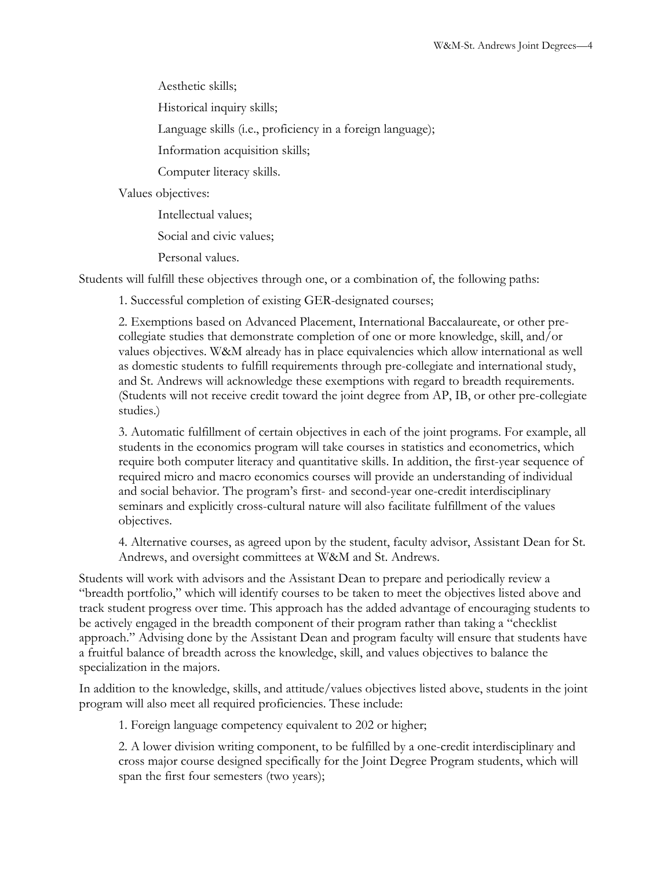Aesthetic skills;

Historical inquiry skills;

Language skills (i.e., proficiency in a foreign language);

Information acquisition skills;

Computer literacy skills.

Values objectives:

Intellectual values;

Social and civic values;

Personal values.

Students will fulfill these objectives through one, or a combination of, the following paths:

1. Successful completion of existing GER-designated courses;

2. Exemptions based on Advanced Placement, International Baccalaureate, or other precollegiate studies that demonstrate completion of one or more knowledge, skill, and/or values objectives. W&M already has in place equivalencies which allow international as well as domestic students to fulfill requirements through pre-collegiate and international study, and St. Andrews will acknowledge these exemptions with regard to breadth requirements. (Students will not receive credit toward the joint degree from AP, IB, or other pre-collegiate studies.)

3. Automatic fulfillment of certain objectives in each of the joint programs. For example, all students in the economics program will take courses in statistics and econometrics, which require both computer literacy and quantitative skills. In addition, the first-year sequence of required micro and macro economics courses will provide an understanding of individual and social behavior. The program's first- and second-year one-credit interdisciplinary seminars and explicitly cross-cultural nature will also facilitate fulfillment of the values objectives.

4. Alternative courses, as agreed upon by the student, faculty advisor, Assistant Dean for St. Andrews, and oversight committees at W&M and St. Andrews.

Students will work with advisors and the Assistant Dean to prepare and periodically review a "breadth portfolio," which will identify courses to be taken to meet the objectives listed above and track student progress over time. This approach has the added advantage of encouraging students to be actively engaged in the breadth component of their program rather than taking a "checklist approach." Advising done by the Assistant Dean and program faculty will ensure that students have a fruitful balance of breadth across the knowledge, skill, and values objectives to balance the specialization in the majors.

In addition to the knowledge, skills, and attitude/values objectives listed above, students in the joint program will also meet all required proficiencies. These include:

1. Foreign language competency equivalent to 202 or higher;

2. A lower division writing component, to be fulfilled by a one-credit interdisciplinary and cross major course designed specifically for the Joint Degree Program students, which will span the first four semesters (two years);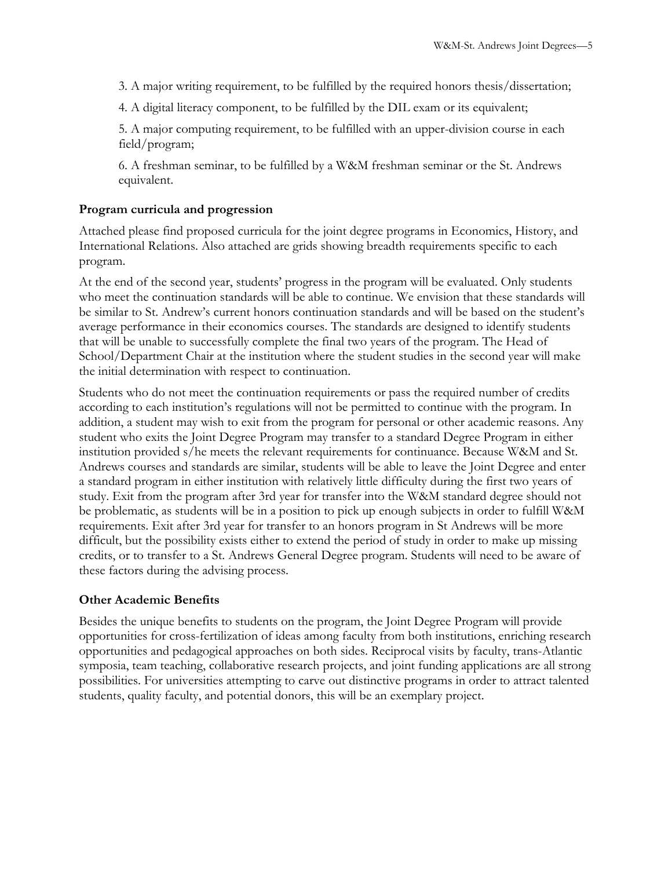3. A major writing requirement, to be fulfilled by the required honors thesis/dissertation;

4. A digital literacy component, to be fulfilled by the DIL exam or its equivalent;

5. A major computing requirement, to be fulfilled with an upper-division course in each field/program;

6. A freshman seminar, to be fulfilled by a W&M freshman seminar or the St. Andrews equivalent.

### **Program curricula and progression**

Attached please find proposed curricula for the joint degree programs in Economics, History, and International Relations. Also attached are grids showing breadth requirements specific to each program.

At the end of the second year, students' progress in the program will be evaluated. Only students who meet the continuation standards will be able to continue. We envision that these standards will be similar to St. Andrew's current honors continuation standards and will be based on the student's average performance in their economics courses. The standards are designed to identify students that will be unable to successfully complete the final two years of the program. The Head of School/Department Chair at the institution where the student studies in the second year will make the initial determination with respect to continuation.

Students who do not meet the continuation requirements or pass the required number of credits according to each institution's regulations will not be permitted to continue with the program. In addition, a student may wish to exit from the program for personal or other academic reasons. Any student who exits the Joint Degree Program may transfer to a standard Degree Program in either institution provided s/he meets the relevant requirements for continuance. Because W&M and St. Andrews courses and standards are similar, students will be able to leave the Joint Degree and enter a standard program in either institution with relatively little difficulty during the first two years of study. Exit from the program after 3rd year for transfer into the W&M standard degree should not be problematic, as students will be in a position to pick up enough subjects in order to fulfill W&M requirements. Exit after 3rd year for transfer to an honors program in St Andrews will be more difficult, but the possibility exists either to extend the period of study in order to make up missing credits, or to transfer to a St. Andrews General Degree program. Students will need to be aware of these factors during the advising process.

### **Other Academic Benefits**

Besides the unique benefits to students on the program, the Joint Degree Program will provide opportunities for cross-fertilization of ideas among faculty from both institutions, enriching research opportunities and pedagogical approaches on both sides. Reciprocal visits by faculty, trans-Atlantic symposia, team teaching, collaborative research projects, and joint funding applications are all strong possibilities. For universities attempting to carve out distinctive programs in order to attract talented students, quality faculty, and potential donors, this will be an exemplary project.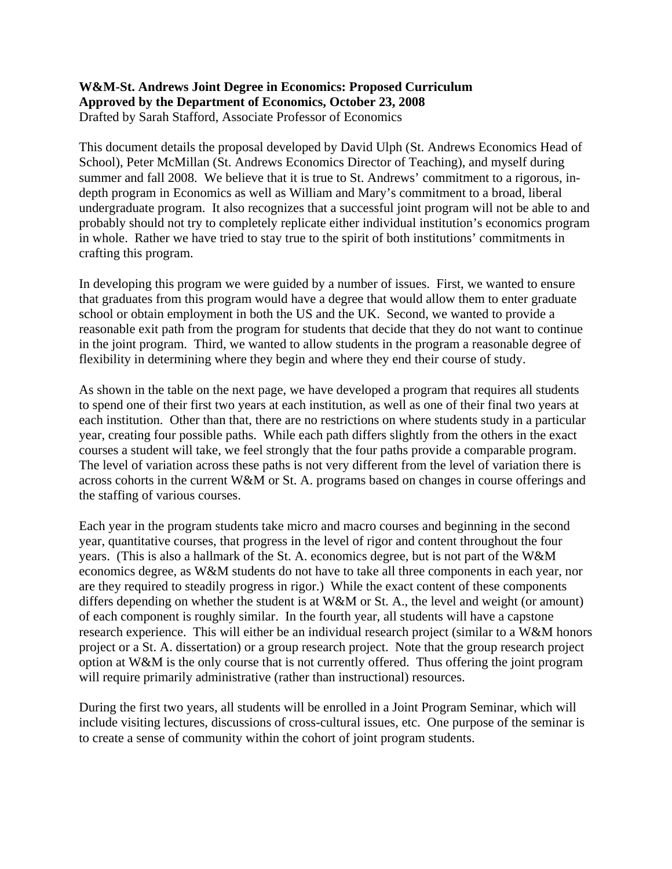### **W&M-St. Andrews Joint Degree in Economics: Proposed Curriculum Approved by the Department of Economics, October 23, 2008**  Drafted by Sarah Stafford, Associate Professor of Economics

This document details the proposal developed by David Ulph (St. Andrews Economics Head of School), Peter McMillan (St. Andrews Economics Director of Teaching), and myself during summer and fall 2008. We believe that it is true to St. Andrews' commitment to a rigorous, indepth program in Economics as well as William and Mary's commitment to a broad, liberal undergraduate program. It also recognizes that a successful joint program will not be able to and probably should not try to completely replicate either individual institution's economics program in whole. Rather we have tried to stay true to the spirit of both institutions' commitments in crafting this program.

In developing this program we were guided by a number of issues. First, we wanted to ensure that graduates from this program would have a degree that would allow them to enter graduate school or obtain employment in both the US and the UK. Second, we wanted to provide a reasonable exit path from the program for students that decide that they do not want to continue in the joint program. Third, we wanted to allow students in the program a reasonable degree of flexibility in determining where they begin and where they end their course of study.

As shown in the table on the next page, we have developed a program that requires all students to spend one of their first two years at each institution, as well as one of their final two years at each institution. Other than that, there are no restrictions on where students study in a particular year, creating four possible paths. While each path differs slightly from the others in the exact courses a student will take, we feel strongly that the four paths provide a comparable program. The level of variation across these paths is not very different from the level of variation there is across cohorts in the current W&M or St. A. programs based on changes in course offerings and the staffing of various courses.

Each year in the program students take micro and macro courses and beginning in the second year, quantitative courses, that progress in the level of rigor and content throughout the four years. (This is also a hallmark of the St. A. economics degree, but is not part of the W&M economics degree, as W&M students do not have to take all three components in each year, nor are they required to steadily progress in rigor.) While the exact content of these components differs depending on whether the student is at W&M or St. A., the level and weight (or amount) of each component is roughly similar. In the fourth year, all students will have a capstone research experience. This will either be an individual research project (similar to a W&M honors project or a St. A. dissertation) or a group research project. Note that the group research project option at W&M is the only course that is not currently offered. Thus offering the joint program will require primarily administrative (rather than instructional) resources.

During the first two years, all students will be enrolled in a Joint Program Seminar, which will include visiting lectures, discussions of cross-cultural issues, etc. One purpose of the seminar is to create a sense of community within the cohort of joint program students.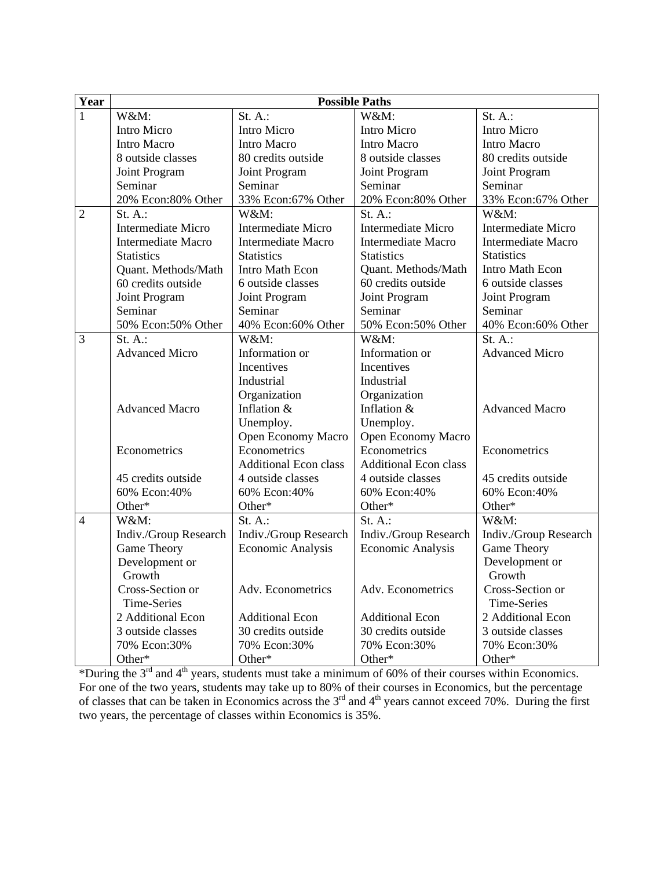| Year           | <b>Possible Paths</b>     |                              |                              |                           |
|----------------|---------------------------|------------------------------|------------------------------|---------------------------|
| 1              | W&M:                      | $St. A.$ :                   | W&M:                         | $St. A.$ :                |
|                | Intro Micro               | <b>Intro Micro</b>           | Intro Micro                  | Intro Micro               |
|                | <b>Intro Macro</b>        | <b>Intro Macro</b>           | <b>Intro Macro</b>           | <b>Intro Macro</b>        |
|                | 8 outside classes         | 80 credits outside           | 8 outside classes            | 80 credits outside        |
|                | Joint Program             | Joint Program                | Joint Program                | Joint Program             |
|                | Seminar                   | Seminar                      | Seminar                      | Seminar                   |
|                | 20% Econ:80% Other        | 33% Econ:67% Other           | 20% Econ:80% Other           | 33% Econ:67% Other        |
| $\overline{2}$ | $St. A.$ :                | W&M:                         | $St. A.$ :                   | W&M:                      |
|                | <b>Intermediate Micro</b> | <b>Intermediate Micro</b>    | <b>Intermediate Micro</b>    | <b>Intermediate Micro</b> |
|                | <b>Intermediate Macro</b> | <b>Intermediate Macro</b>    | <b>Intermediate Macro</b>    | <b>Intermediate Macro</b> |
|                | <b>Statistics</b>         | <b>Statistics</b>            | <b>Statistics</b>            | <b>Statistics</b>         |
|                | Quant. Methods/Math       | Intro Math Econ              | Quant. Methods/Math          | Intro Math Econ           |
|                | 60 credits outside        | 6 outside classes            | 60 credits outside           | 6 outside classes         |
|                | Joint Program             | Joint Program                | Joint Program                | Joint Program             |
|                | Seminar                   | Seminar                      | Seminar                      | Seminar                   |
|                | 50% Econ:50% Other        | 40% Econ:60% Other           | 50% Econ:50% Other           | 40% Econ:60% Other        |
| 3              | $St. A.$ :                | W&M:                         | W&M:                         | $St. A.$ :                |
|                | <b>Advanced Micro</b>     | Information or               | Information or               | <b>Advanced Micro</b>     |
|                |                           | Incentives                   | Incentives                   |                           |
|                |                           | Industrial                   | Industrial                   |                           |
|                |                           | Organization                 | Organization                 |                           |
|                | <b>Advanced Macro</b>     | Inflation &                  | Inflation &                  | <b>Advanced Macro</b>     |
|                |                           | Unemploy.                    | Unemploy.                    |                           |
|                |                           | Open Economy Macro           | Open Economy Macro           |                           |
|                | Econometrics              | Econometrics                 | Econometrics                 | Econometrics              |
|                |                           | <b>Additional Econ class</b> | <b>Additional Econ class</b> |                           |
|                | 45 credits outside        | 4 outside classes            | 4 outside classes            | 45 credits outside        |
|                | 60% Econ:40%              | 60% Econ:40%                 | 60% Econ:40%                 | 60% Econ:40%              |
|                | Other*                    | Other*                       | Other*                       | Other*                    |
| $\overline{4}$ | W&M:                      | $St. A.$ :                   | St. $A$ .:                   | W&M:                      |
|                | Indiv./Group Research     | Indiv./Group Research        | Indiv./Group Research        | Indiv./Group Research     |
|                | Game Theory               | <b>Economic Analysis</b>     | <b>Economic Analysis</b>     | Game Theory               |
|                | Development or            |                              |                              | Development or            |
|                | Growth                    |                              |                              | Growth                    |
|                | Cross-Section or          | Adv. Econometrics            | Adv. Econometrics            | Cross-Section or          |
|                | Time-Series               |                              |                              | Time-Series               |
|                | 2 Additional Econ         | <b>Additional Econ</b>       | <b>Additional Econ</b>       | 2 Additional Econ         |
|                | 3 outside classes         | 30 credits outside           | 30 credits outside           | 3 outside classes         |
|                | 70% Econ:30%              | 70% Econ:30%                 | 70% Econ:30%                 | 70% Econ:30%              |
|                | Other*                    | Other*                       | Other*                       | Other*                    |

\*During the  $3<sup>rd</sup>$  and  $4<sup>th</sup>$  years, students must take a minimum of 60% of their courses within Economics. For one of the two years, students may take up to 80% of their courses in Economics, but the percentage of classes that can be taken in Economics across the  $3<sup>rd</sup>$  and  $4<sup>th</sup>$  years cannot exceed 70%. During the first two years, the percentage of classes within Economics is 35%.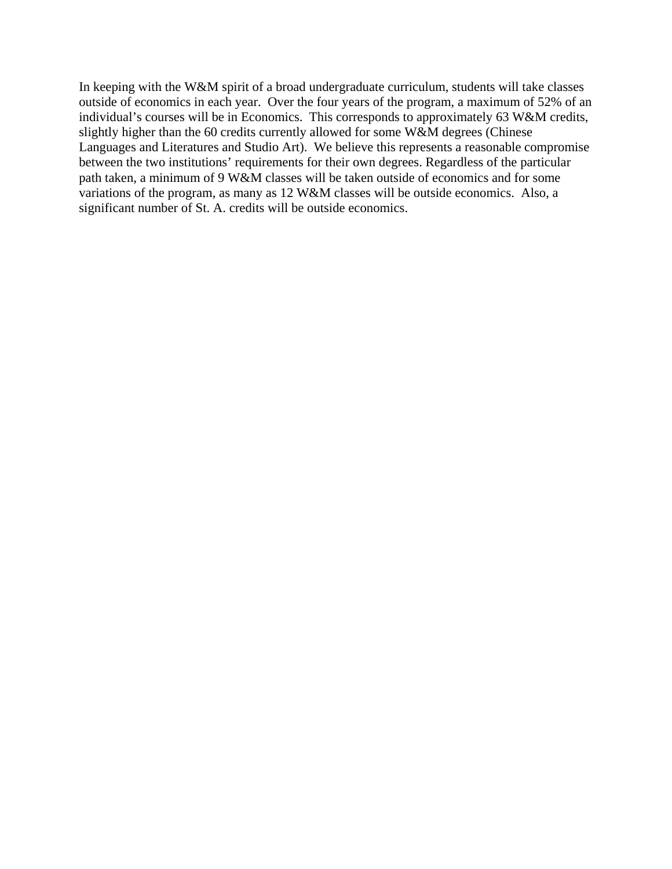In keeping with the W&M spirit of a broad undergraduate curriculum, students will take classes outside of economics in each year. Over the four years of the program, a maximum of 52% of an individual's courses will be in Economics. This corresponds to approximately 63 W&M credits, slightly higher than the 60 credits currently allowed for some W&M degrees (Chinese Languages and Literatures and Studio Art). We believe this represents a reasonable compromise between the two institutions' requirements for their own degrees. Regardless of the particular path taken, a minimum of 9 W&M classes will be taken outside of economics and for some variations of the program, as many as 12 W&M classes will be outside economics. Also, a significant number of St. A. credits will be outside economics.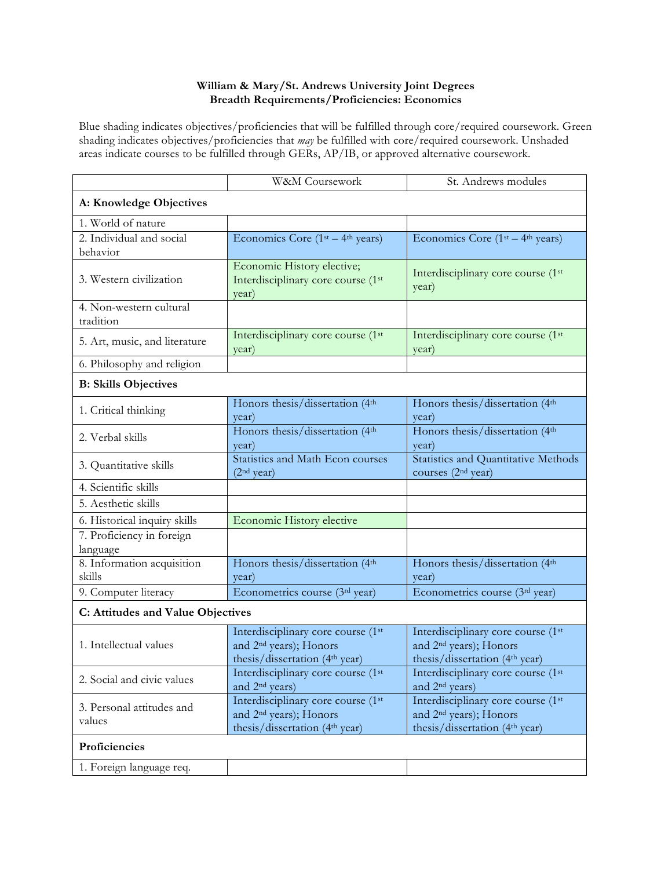### **William & Mary/St. Andrews University Joint Degrees Breadth Requirements/Proficiencies: Economics**

Blue shading indicates objectives/proficiencies that will be fulfilled through core/required coursework. Green shading indicates objectives/proficiencies that *may* be fulfilled with core/required coursework. Unshaded areas indicate courses to be fulfilled through GERs, AP/IB, or approved alternative coursework.

|                                       | W&M Coursework                                                                                                         | St. Andrews modules                                                                                                    |  |
|---------------------------------------|------------------------------------------------------------------------------------------------------------------------|------------------------------------------------------------------------------------------------------------------------|--|
| A: Knowledge Objectives               |                                                                                                                        |                                                                                                                        |  |
| 1. World of nature                    |                                                                                                                        |                                                                                                                        |  |
| 2. Individual and social              | Economics Core $(1st - 4th years)$                                                                                     | Economics Core $(1st - 4th years)$                                                                                     |  |
| behavior                              |                                                                                                                        |                                                                                                                        |  |
| 3. Western civilization               | Economic History elective;<br>Interdisciplinary core course (1st<br>year)                                              | Interdisciplinary core course (1st<br>year)                                                                            |  |
| 4. Non-western cultural<br>tradition  |                                                                                                                        |                                                                                                                        |  |
| 5. Art, music, and literature         | Interdisciplinary core course (1st<br>year)                                                                            | Interdisciplinary core course (1st<br>year)                                                                            |  |
| 6. Philosophy and religion            |                                                                                                                        |                                                                                                                        |  |
| <b>B: Skills Objectives</b>           |                                                                                                                        |                                                                                                                        |  |
| 1. Critical thinking                  | Honors thesis/dissertation (4th<br>year)                                                                               | Honors thesis/dissertation (4th<br>year)                                                                               |  |
| 2. Verbal skills                      | Honors thesis/dissertation (4th<br>year)                                                                               | Honors thesis/dissertation (4th<br>year)                                                                               |  |
| 3. Quantitative skills                | Statistics and Math Econ courses<br>(2 <sup>nd</sup> year)                                                             | <b>Statistics and Quantitative Methods</b><br>courses (2 <sup>nd</sup> year)                                           |  |
| 4. Scientific skills                  |                                                                                                                        |                                                                                                                        |  |
| 5. Aesthetic skills                   |                                                                                                                        |                                                                                                                        |  |
| 6. Historical inquiry skills          | Economic History elective                                                                                              |                                                                                                                        |  |
| 7. Proficiency in foreign<br>language |                                                                                                                        |                                                                                                                        |  |
| 8. Information acquisition<br>skills  | Honors thesis/dissertation (4th<br>year)                                                                               | Honors thesis/dissertation (4th<br>year)                                                                               |  |
| 9. Computer literacy                  | Econometrics course (3rd year)                                                                                         | Econometrics course (3rd year)                                                                                         |  |
| C: Attitudes and Value Objectives     |                                                                                                                        |                                                                                                                        |  |
| 1. Intellectual values                | Interdisciplinary core course (1st<br>and 2 <sup>nd</sup> years); Honors<br>thesis/dissertation (4 <sup>th</sup> year) | Interdisciplinary core course (1st<br>and 2 <sup>nd</sup> years); Honors<br>thesis/dissertation (4 <sup>th</sup> year) |  |
| 2. Social and civic values            | Interdisciplinary core course (1st<br>and 2 <sup>nd</sup> years)                                                       | Interdisciplinary core course (1st<br>and 2 <sup>nd</sup> years)                                                       |  |
| 3. Personal attitudes and<br>values   | Interdisciplinary core course (1st<br>and 2 <sup>nd</sup> years); Honors<br>thesis/dissertation (4 <sup>th</sup> year) | Interdisciplinary core course (1st<br>and 2 <sup>nd</sup> years); Honors<br>thesis/dissertation (4 <sup>th</sup> year) |  |
| Proficiencies                         |                                                                                                                        |                                                                                                                        |  |
| 1. Foreign language req.              |                                                                                                                        |                                                                                                                        |  |
|                                       |                                                                                                                        |                                                                                                                        |  |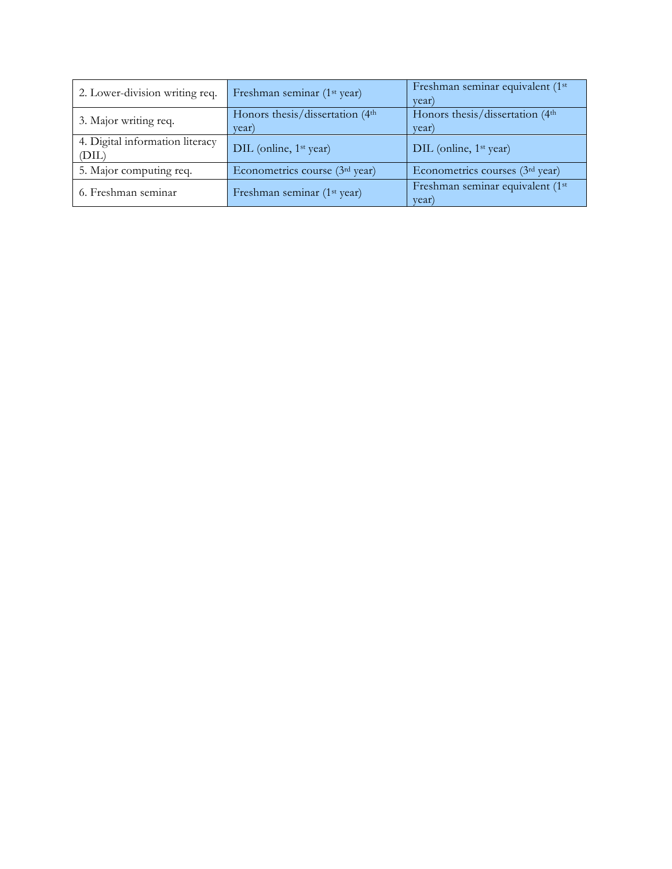| 2. Lower-division writing req.           | Freshman seminar (1 <sup>st</sup> year)  | Freshman seminar equivalent (1st<br>year) |
|------------------------------------------|------------------------------------------|-------------------------------------------|
| 3. Major writing req.                    | Honors thesis/dissertation (4th<br>year) | Honors thesis/dissertation (4th<br>year)  |
| 4. Digital information literacy<br>(DIL) | DIL (online, 1 <sup>st</sup> year)       | DIL (online, 1 <sup>st</sup> year)        |
| 5. Major computing req.                  | Econometrics course (3rd year)           | Econometrics courses (3rd year)           |
| 6. Freshman seminar                      | Freshman seminar (1 <sup>st</sup> year)  | Freshman seminar equivalent (1st<br>year) |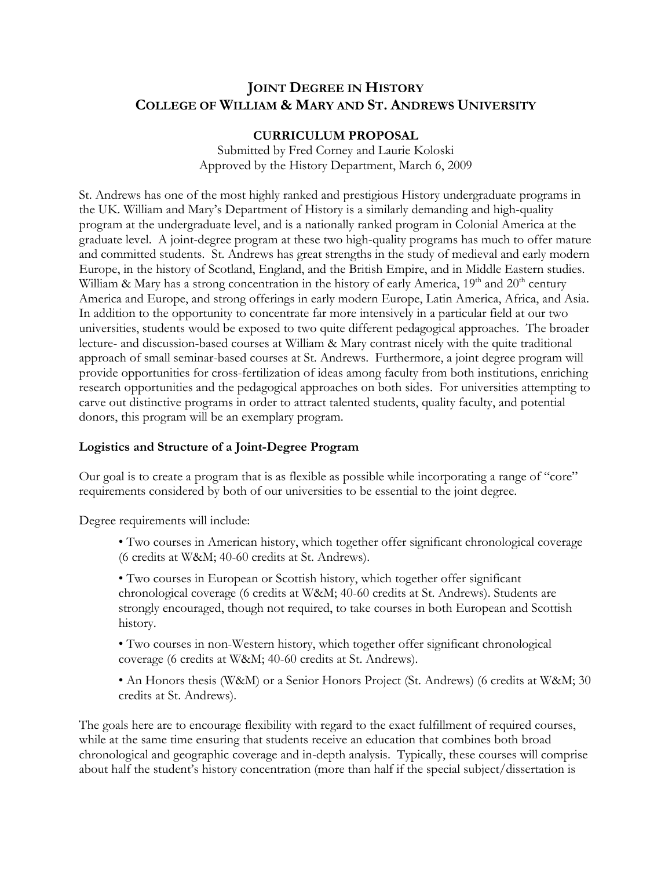# **JOINT DEGREE IN HISTORY COLLEGE OF WILLIAM & MARY AND ST. ANDREWS UNIVERSITY**

### **CURRICULUM PROPOSAL**

Submitted by Fred Corney and Laurie Koloski Approved by the History Department, March 6, 2009

St. Andrews has one of the most highly ranked and prestigious History undergraduate programs in the UK. William and Mary's Department of History is a similarly demanding and high-quality program at the undergraduate level, and is a nationally ranked program in Colonial America at the graduate level. A joint-degree program at these two high-quality programs has much to offer mature and committed students. St. Andrews has great strengths in the study of medieval and early modern Europe, in the history of Scotland, England, and the British Empire, and in Middle Eastern studies. William & Mary has a strong concentration in the history of early America,  $19<sup>th</sup>$  and  $20<sup>th</sup>$  century America and Europe, and strong offerings in early modern Europe, Latin America, Africa, and Asia. In addition to the opportunity to concentrate far more intensively in a particular field at our two universities, students would be exposed to two quite different pedagogical approaches. The broader lecture- and discussion-based courses at William & Mary contrast nicely with the quite traditional approach of small seminar-based courses at St. Andrews. Furthermore, a joint degree program will provide opportunities for cross-fertilization of ideas among faculty from both institutions, enriching research opportunities and the pedagogical approaches on both sides. For universities attempting to carve out distinctive programs in order to attract talented students, quality faculty, and potential donors, this program will be an exemplary program.

### **Logistics and Structure of a Joint-Degree Program**

Our goal is to create a program that is as flexible as possible while incorporating a range of "core" requirements considered by both of our universities to be essential to the joint degree.

Degree requirements will include:

• Two courses in American history, which together offer significant chronological coverage (6 credits at W&M; 40-60 credits at St. Andrews).

• Two courses in European or Scottish history, which together offer significant chronological coverage (6 credits at W&M; 40-60 credits at St. Andrews). Students are strongly encouraged, though not required, to take courses in both European and Scottish history.

• Two courses in non-Western history, which together offer significant chronological coverage (6 credits at W&M; 40-60 credits at St. Andrews).

• An Honors thesis (W&M) or a Senior Honors Project (St. Andrews) (6 credits at W&M; 30 credits at St. Andrews).

The goals here are to encourage flexibility with regard to the exact fulfillment of required courses, while at the same time ensuring that students receive an education that combines both broad chronological and geographic coverage and in-depth analysis. Typically, these courses will comprise about half the student's history concentration (more than half if the special subject/dissertation is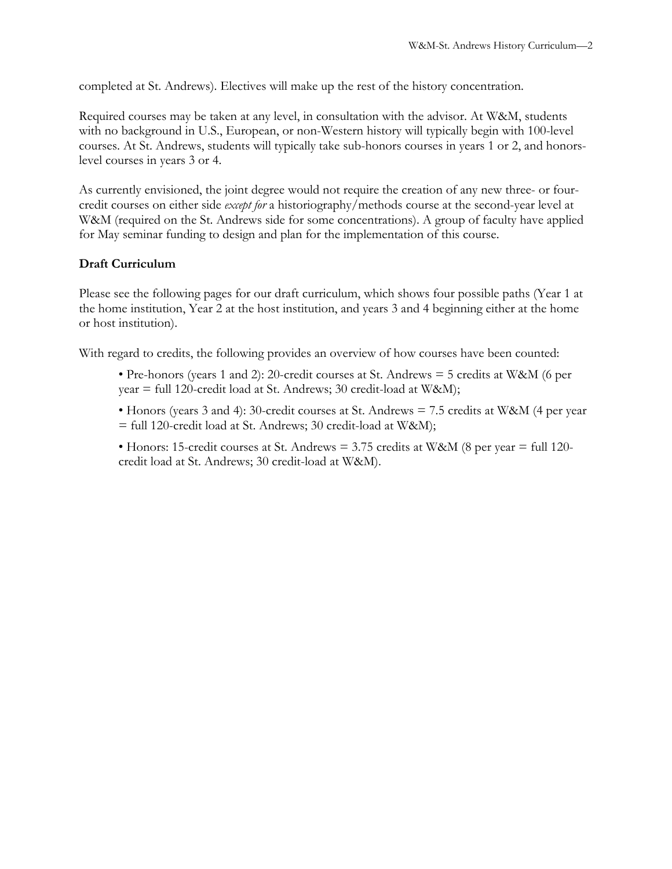completed at St. Andrews). Electives will make up the rest of the history concentration.

Required courses may be taken at any level, in consultation with the advisor. At W&M, students with no background in U.S., European, or non-Western history will typically begin with 100-level courses. At St. Andrews, students will typically take sub-honors courses in years 1 or 2, and honorslevel courses in years 3 or 4.

As currently envisioned, the joint degree would not require the creation of any new three- or fourcredit courses on either side *except for* a historiography/methods course at the second-year level at W&M (required on the St. Andrews side for some concentrations). A group of faculty have applied for May seminar funding to design and plan for the implementation of this course.

## **Draft Curriculum**

Please see the following pages for our draft curriculum, which shows four possible paths (Year 1 at the home institution, Year 2 at the host institution, and years 3 and 4 beginning either at the home or host institution).

With regard to credits, the following provides an overview of how courses have been counted:

- Pre-honors (years 1 and 2): 20-credit courses at St. Andrews  $=$  5 credits at W&M (6 per year = full 120-credit load at St. Andrews; 30 credit-load at W&M);
- Honors (years 3 and 4): 30-credit courses at St. Andrews  $= 7.5$  credits at W&M (4 per year = full 120-credit load at St. Andrews; 30 credit-load at W&M);
- Honors: 15-credit courses at St. Andrews  $= 3.75$  credits at W&M (8 per year  $=$  full 120credit load at St. Andrews; 30 credit-load at W&M).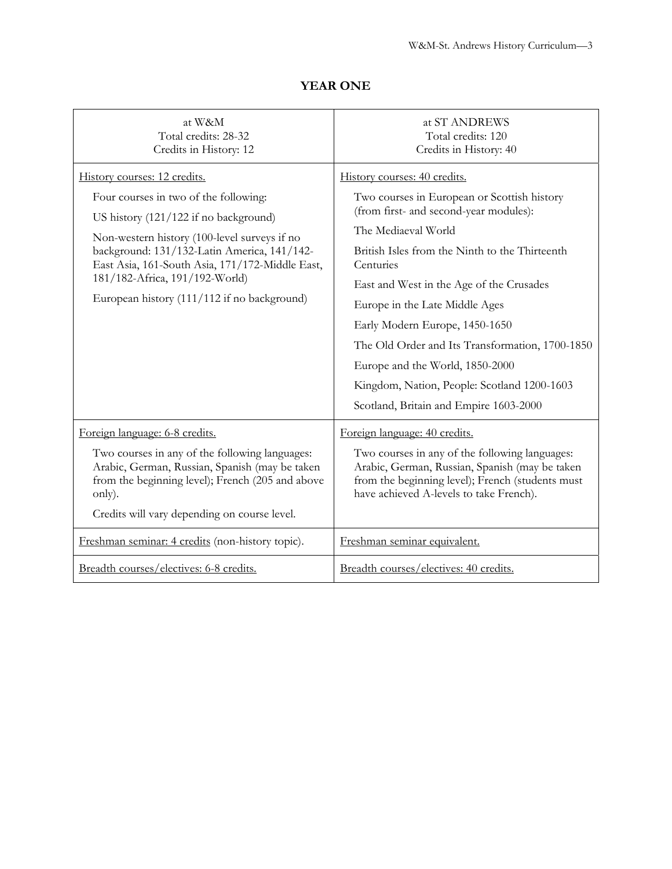| at W&M                                                                                                                                                                                                                                                                                                                                            | at ST ANDREWS                                                                                                                                                                                                                                                                                                                                                                                                                                                                                              |
|---------------------------------------------------------------------------------------------------------------------------------------------------------------------------------------------------------------------------------------------------------------------------------------------------------------------------------------------------|------------------------------------------------------------------------------------------------------------------------------------------------------------------------------------------------------------------------------------------------------------------------------------------------------------------------------------------------------------------------------------------------------------------------------------------------------------------------------------------------------------|
| Total credits: 28-32                                                                                                                                                                                                                                                                                                                              | Total credits: 120                                                                                                                                                                                                                                                                                                                                                                                                                                                                                         |
| Credits in History: 12                                                                                                                                                                                                                                                                                                                            | Credits in History: 40                                                                                                                                                                                                                                                                                                                                                                                                                                                                                     |
| History courses: 12 credits.<br>Four courses in two of the following:<br>US history (121/122 if no background)<br>Non-western history (100-level surveys if no<br>background: 131/132-Latin America, 141/142-<br>East Asia, 161-South Asia, 171/172-Middle East,<br>181/182-Africa, 191/192-World)<br>European history (111/112 if no background) | History courses: 40 credits.<br>Two courses in European or Scottish history<br>(from first- and second-year modules):<br>The Mediaeval World<br>British Isles from the Ninth to the Thirteenth<br>Centuries<br>East and West in the Age of the Crusades<br>Europe in the Late Middle Ages<br>Early Modern Europe, 1450-1650<br>The Old Order and Its Transformation, 1700-1850<br>Europe and the World, 1850-2000<br>Kingdom, Nation, People: Scotland 1200-1603<br>Scotland, Britain and Empire 1603-2000 |
| Foreign language: 6-8 credits.<br>Two courses in any of the following languages:<br>Arabic, German, Russian, Spanish (may be taken<br>from the beginning level); French (205 and above<br>only).<br>Credits will vary depending on course level.                                                                                                  | Foreign language: 40 credits.<br>Two courses in any of the following languages:<br>Arabic, German, Russian, Spanish (may be taken<br>from the beginning level); French (students must<br>have achieved A-levels to take French).                                                                                                                                                                                                                                                                           |
| Freshman seminar: 4 credits (non-history topic).                                                                                                                                                                                                                                                                                                  | Freshman seminar equivalent.                                                                                                                                                                                                                                                                                                                                                                                                                                                                               |
| Breadth courses/electives: 6-8 credits.                                                                                                                                                                                                                                                                                                           | Breadth courses/electives: 40 credits.                                                                                                                                                                                                                                                                                                                                                                                                                                                                     |

# **YEAR ONE**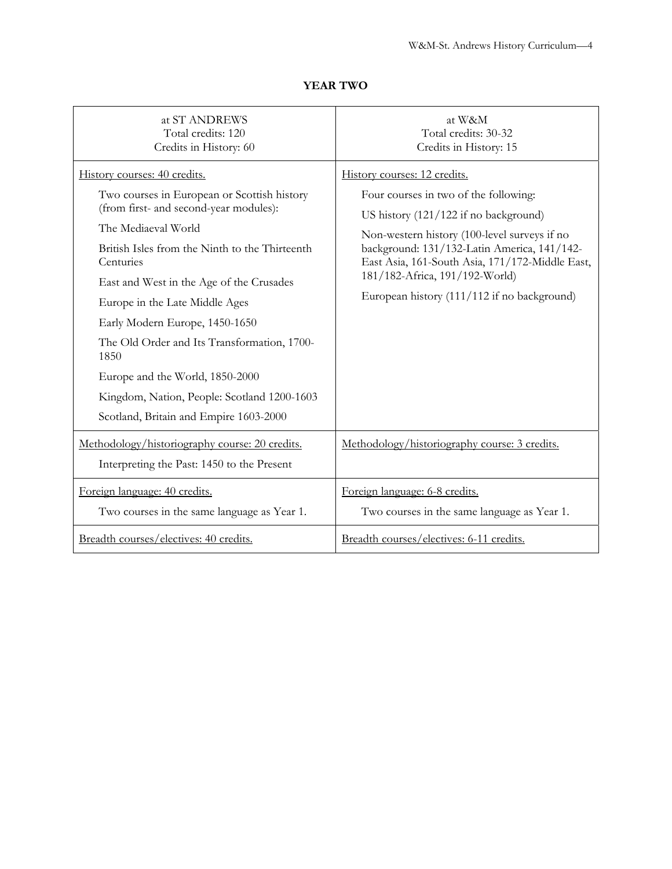| at ST ANDREWS<br>Total credits: 120<br>Credits in History: 60                                                                                                                                                                                                                                                                                                                                                                                                                                                  | at W&M<br>Total credits: 30-32<br>Credits in History: 15                                                                                                                                                                                                                                                                                          |
|----------------------------------------------------------------------------------------------------------------------------------------------------------------------------------------------------------------------------------------------------------------------------------------------------------------------------------------------------------------------------------------------------------------------------------------------------------------------------------------------------------------|---------------------------------------------------------------------------------------------------------------------------------------------------------------------------------------------------------------------------------------------------------------------------------------------------------------------------------------------------|
| History courses: 40 credits.<br>Two courses in European or Scottish history<br>(from first- and second-year modules):<br>The Mediaeval World<br>British Isles from the Ninth to the Thirteenth<br>Centuries<br>East and West in the Age of the Crusades<br>Europe in the Late Middle Ages<br>Early Modern Europe, 1450-1650<br>The Old Order and Its Transformation, 1700-<br>1850<br>Europe and the World, 1850-2000<br>Kingdom, Nation, People: Scotland 1200-1603<br>Scotland, Britain and Empire 1603-2000 | History courses: 12 credits.<br>Four courses in two of the following:<br>US history (121/122 if no background)<br>Non-western history (100-level surveys if no<br>background: 131/132-Latin America, 141/142-<br>East Asia, 161-South Asia, 171/172-Middle East,<br>181/182-Africa, 191/192-World)<br>European history (111/112 if no background) |
| Methodology/historiography course: 20 credits.<br>Interpreting the Past: 1450 to the Present                                                                                                                                                                                                                                                                                                                                                                                                                   | Methodology/historiography course: 3 credits.                                                                                                                                                                                                                                                                                                     |
| Foreign language: 40 credits.<br>Two courses in the same language as Year 1.                                                                                                                                                                                                                                                                                                                                                                                                                                   | Foreign language: 6-8 credits.<br>Two courses in the same language as Year 1.                                                                                                                                                                                                                                                                     |
| Breadth courses/electives: 40 credits.                                                                                                                                                                                                                                                                                                                                                                                                                                                                         | Breadth courses/electives: 6-11 credits.                                                                                                                                                                                                                                                                                                          |

# **YEAR TWO**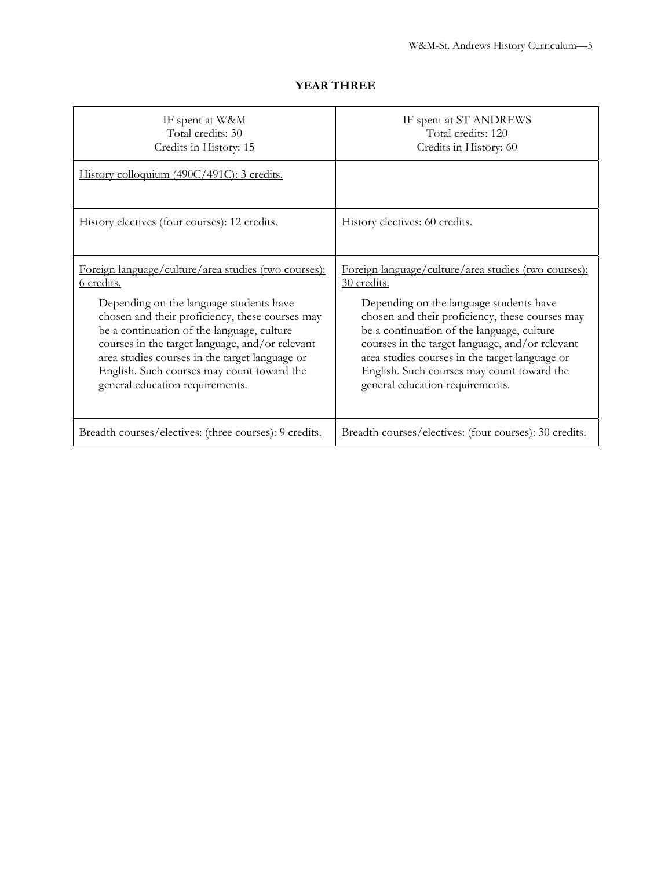| IF spent at W&M<br>Total credits: 30<br>Credits in History: 15                                                                                                                                                                                                                                                                                                                                              | IF spent at ST ANDREWS<br>Total credits: 120<br>Credits in History: 60                                                                                                                                                                                                                                                                                                                                |
|-------------------------------------------------------------------------------------------------------------------------------------------------------------------------------------------------------------------------------------------------------------------------------------------------------------------------------------------------------------------------------------------------------------|-------------------------------------------------------------------------------------------------------------------------------------------------------------------------------------------------------------------------------------------------------------------------------------------------------------------------------------------------------------------------------------------------------|
| History colloquium (490C/491C): 3 credits.                                                                                                                                                                                                                                                                                                                                                                  |                                                                                                                                                                                                                                                                                                                                                                                                       |
| History electives (four courses): 12 credits.                                                                                                                                                                                                                                                                                                                                                               | History electives: 60 credits.                                                                                                                                                                                                                                                                                                                                                                        |
| Foreign language/culture/area studies (two courses):<br><u>6</u> credits.<br>Depending on the language students have<br>chosen and their proficiency, these courses may<br>be a continuation of the language, culture<br>courses in the target language, and/or relevant<br>area studies courses in the target language or<br>English. Such courses may count toward the<br>general education requirements. | Foreign language/culture/area studies (two courses):<br>30 credits.<br>Depending on the language students have<br>chosen and their proficiency, these courses may<br>be a continuation of the language, culture<br>courses in the target language, and/or relevant<br>area studies courses in the target language or<br>English. Such courses may count toward the<br>general education requirements. |
| Breadth courses/electives: (three courses): 9 credits.                                                                                                                                                                                                                                                                                                                                                      | Breadth courses/electives: (four courses): 30 credits.                                                                                                                                                                                                                                                                                                                                                |

## **YEAR THREE**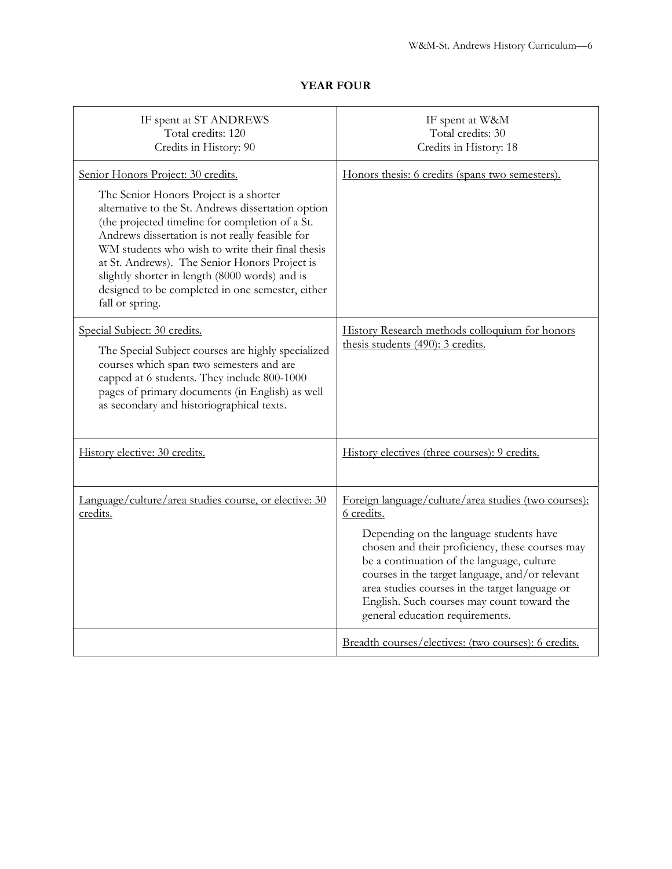# **YEAR FOUR**

| IF spent at ST ANDREWS<br>Total credits: 120<br>Credits in History: 90                                                                                                                                                                                                                                                                                                                                                                                                 | IF spent at W&M<br>Total credits: 30<br>Credits in History: 18                                                                                                                                                                                                                                                                                                                                       |
|------------------------------------------------------------------------------------------------------------------------------------------------------------------------------------------------------------------------------------------------------------------------------------------------------------------------------------------------------------------------------------------------------------------------------------------------------------------------|------------------------------------------------------------------------------------------------------------------------------------------------------------------------------------------------------------------------------------------------------------------------------------------------------------------------------------------------------------------------------------------------------|
| Senior Honors Project: 30 credits.<br>The Senior Honors Project is a shorter<br>alternative to the St. Andrews dissertation option<br>(the projected timeline for completion of a St.<br>Andrews dissertation is not really feasible for<br>WM students who wish to write their final thesis<br>at St. Andrews). The Senior Honors Project is<br>slightly shorter in length (8000 words) and is<br>designed to be completed in one semester, either<br>fall or spring. | Honors thesis: 6 credits (spans two semesters).                                                                                                                                                                                                                                                                                                                                                      |
| Special Subject: 30 credits.<br>The Special Subject courses are highly specialized<br>courses which span two semesters and are<br>capped at 6 students. They include 800-1000<br>pages of primary documents (in English) as well<br>as secondary and historiographical texts.                                                                                                                                                                                          | History Research methods colloquium for honors<br>thesis students (490): 3 credits.                                                                                                                                                                                                                                                                                                                  |
| History elective: 30 credits.                                                                                                                                                                                                                                                                                                                                                                                                                                          | History electives (three courses): 9 credits.                                                                                                                                                                                                                                                                                                                                                        |
| Language/culture/area studies course, or elective: 30<br>credits.                                                                                                                                                                                                                                                                                                                                                                                                      | Foreign language/culture/area studies (two courses):<br>6 credits.<br>Depending on the language students have<br>chosen and their proficiency, these courses may<br>be a continuation of the language, culture<br>courses in the target language, and/or relevant<br>area studies courses in the target language or<br>English. Such courses may count toward the<br>general education requirements. |
|                                                                                                                                                                                                                                                                                                                                                                                                                                                                        | Breadth courses/electives: (two courses): 6 credits.                                                                                                                                                                                                                                                                                                                                                 |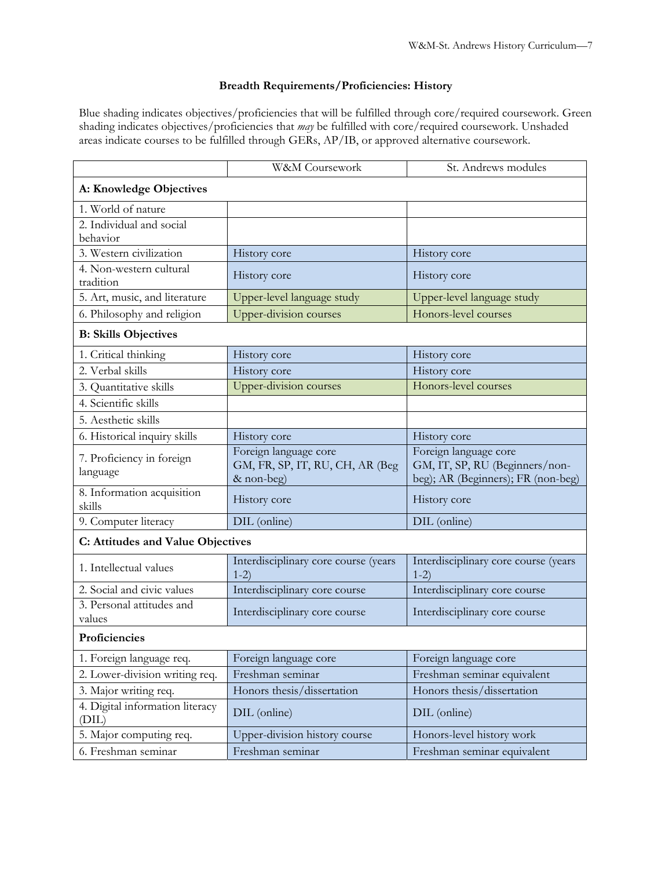## **Breadth Requirements/Proficiencies: History**

Blue shading indicates objectives/proficiencies that will be fulfilled through core/required coursework. Green shading indicates objectives/proficiencies that *may* be fulfilled with core/required coursework. Unshaded areas indicate courses to be fulfilled through GERs, AP/IB, or approved alternative coursework.

|                                          | W&M Coursework                                                         | St. Andrews modules                                                                           |  |
|------------------------------------------|------------------------------------------------------------------------|-----------------------------------------------------------------------------------------------|--|
| A: Knowledge Objectives                  |                                                                        |                                                                                               |  |
| 1. World of nature                       |                                                                        |                                                                                               |  |
| 2. Individual and social                 |                                                                        |                                                                                               |  |
| behavior                                 |                                                                        |                                                                                               |  |
| 3. Western civilization                  | History core                                                           | History core                                                                                  |  |
| 4. Non-western cultural<br>tradition     | History core                                                           | History core                                                                                  |  |
| 5. Art, music, and literature            | Upper-level language study                                             | Upper-level language study                                                                    |  |
| 6. Philosophy and religion               | <b>Upper-division courses</b>                                          | Honors-level courses                                                                          |  |
| <b>B: Skills Objectives</b>              |                                                                        |                                                                                               |  |
| 1. Critical thinking                     | History core                                                           | History core                                                                                  |  |
| 2. Verbal skills                         | History core                                                           | History core                                                                                  |  |
| 3. Quantitative skills                   | <b>Upper-division courses</b>                                          | Honors-level courses                                                                          |  |
| 4. Scientific skills                     |                                                                        |                                                                                               |  |
| 5. Aesthetic skills                      |                                                                        |                                                                                               |  |
| 6. Historical inquiry skills             | History core                                                           | History core                                                                                  |  |
| 7. Proficiency in foreign<br>language    | Foreign language core<br>GM, FR, SP, IT, RU, CH, AR (Beg<br>& non-beg) | Foreign language core<br>GM, IT, SP, RU (Beginners/non-<br>beg); AR (Beginners); FR (non-beg) |  |
| 8. Information acquisition<br>skills     | History core                                                           | History core                                                                                  |  |
| 9. Computer literacy                     | DIL (online)                                                           | DIL (online)                                                                                  |  |
| C: Attitudes and Value Objectives        |                                                                        |                                                                                               |  |
| 1. Intellectual values                   | Interdisciplinary core course (years<br>$1-2)$                         | Interdisciplinary core course (years<br>$1-2)$                                                |  |
| 2. Social and civic values               | Interdisciplinary core course                                          | Interdisciplinary core course                                                                 |  |
| 3. Personal attitudes and<br>values      | Interdisciplinary core course                                          | Interdisciplinary core course                                                                 |  |
| Proficiencies                            |                                                                        |                                                                                               |  |
| 1. Foreign language req.                 | Foreign language core                                                  | Foreign language core                                                                         |  |
| 2. Lower-division writing req.           | Freshman seminar                                                       | Freshman seminar equivalent                                                                   |  |
| 3. Major writing req.                    | Honors thesis/dissertation                                             | Honors thesis/dissertation                                                                    |  |
| 4. Digital information literacy<br>(DIL) | DIL (online)                                                           | DIL (online)                                                                                  |  |
| 5. Major computing req.                  | Upper-division history course                                          | Honors-level history work                                                                     |  |
| 6. Freshman seminar                      | Freshman seminar                                                       | Freshman seminar equivalent                                                                   |  |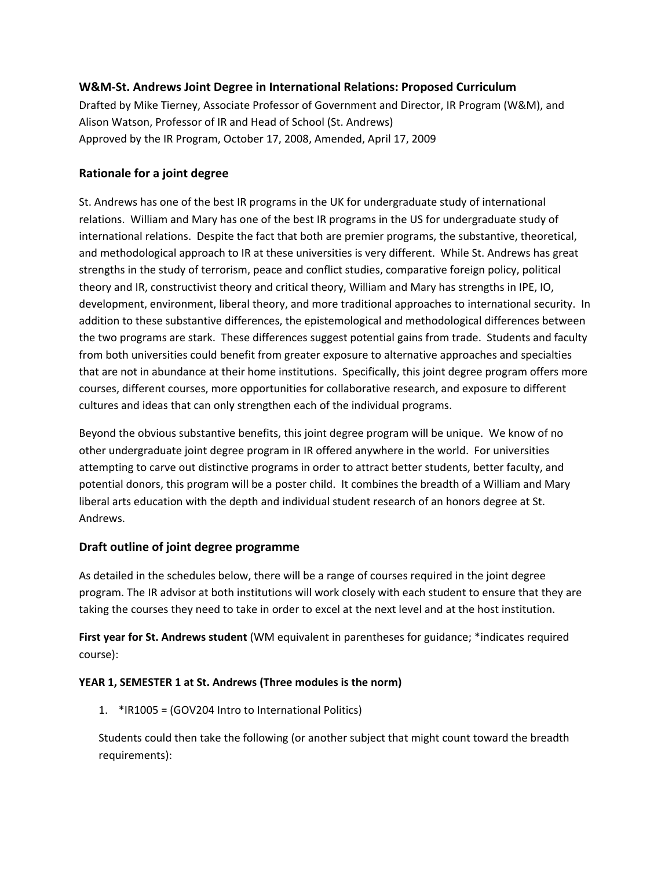### **W&M‐St. Andrews Joint Degree in International Relations: Proposed Curriculum**

Drafted by Mike Tierney, Associate Professor of Government and Director, IR Program (W&M), and Alison Watson, Professor of IR and Head of School (St. Andrews) Approved by the IR Program, October 17, 2008, Amended, April 17, 2009

## **Rationale for a joint degree**

St. Andrews has one of the best IR programs in the UK for undergraduate study of international relations. William and Mary has one of the best IR programs in the US for undergraduate study of international relations. Despite the fact that both are premier programs, the substantive, theoretical, and methodological approach to IR at these universities is very different. While St. Andrews has great strengths in the study of terrorism, peace and conflict studies, comparative foreign policy, political theory and IR, constructivist theory and critical theory, William and Mary has strengths in IPE, IO, development, environment, liberal theory, and more traditional approaches to international security. In addition to these substantive differences, the epistemological and methodological differences between the two programs are stark. These differences suggest potential gains from trade. Students and faculty from both universities could benefit from greater exposure to alternative approaches and specialties that are not in abundance at their home institutions. Specifically, this joint degree program offers more courses, different courses, more opportunities for collaborative research, and exposure to different cultures and ideas that can only strengthen each of the individual programs.

Beyond the obvious substantive benefits, this joint degree program will be unique. We know of no other undergraduate joint degree program in IR offered anywhere in the world. For universities attempting to carve out distinctive programs in order to attract better students, better faculty, and potential donors, this program will be a poster child. It combines the breadth of a William and Mary liberal arts education with the depth and individual student research of an honors degree at St. Andrews.

## **Draft outline of joint degree programme**

As detailed in the schedules below, there will be a range of courses required in the joint degree program. The IR advisor at both institutions will work closely with each student to ensure that they are taking the courses they need to take in order to excel at the next level and at the host institution.

**First year for St. Andrews student** (WM equivalent in parentheses for guidance; \*indicates required course):

### **YEAR 1, SEMESTER 1 at St. Andrews (Three modules is the norm)**

1. \*IR1005 = (GOV204 Intro to International Politics)

Students could then take the following (or another subject that might count toward the breadth requirements):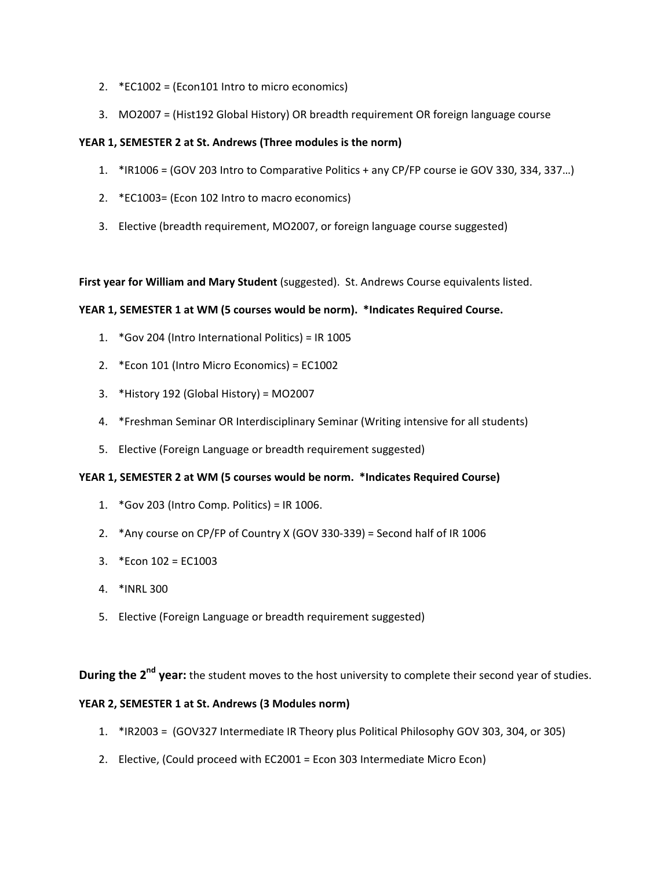- 2. \*EC1002 = (Econ101 Intro to micro economics)
- 3. MO2007 = (Hist192 Global History) OR breadth requirement OR foreign language course

### **YEAR 1, SEMESTER 2 at St. Andrews (Three modules is the norm)**

- 1. \*IR1006 = (GOV 203 Intro to Comparative Politics + any CP/FP course ie GOV 330, 334, 337…)
- 2. \*EC1003= (Econ 102 Intro to macro economics)
- 3. Elective (breadth requirement, MO2007, or foreign language course suggested)

**First year for William and Mary Student** (suggested). St. Andrews Course equivalents listed.

#### **YEAR 1, SEMESTER 1 at WM (5 courses would be norm). \*Indicates Required Course.**

- 1. \*Gov 204 (Intro International Politics) = IR 1005
- 2. \*Econ 101 (Intro Micro Economics) = EC1002
- 3. \*History 192 (Global History) = MO2007
- 4. \*Freshman Seminar OR Interdisciplinary Seminar (Writing intensive for all students)
- 5. Elective (Foreign Language or breadth requirement suggested)

#### **YEAR 1, SEMESTER 2 at WM (5 courses would be norm. \*Indicates Required Course)**

- 1. \*Gov 203 (Intro Comp. Politics) = IR 1006.
- 2. \*Any course on CP/FP of Country X (GOV 330‐339) = Second half of IR 1006
- 3. \*Econ 102 = EC1003
- 4. \*INRL 300
- 5. Elective (Foreign Language or breadth requirement suggested)

**During the 2nd year:** the student moves to the host university to complete their second year of studies.

#### **YEAR 2, SEMESTER 1 at St. Andrews (3 Modules norm)**

- 1. \*IR2003 = (GOV327 Intermediate IR Theory plus Political Philosophy GOV 303, 304, or 305)
- 2. Elective, (Could proceed with EC2001 = Econ 303 Intermediate Micro Econ)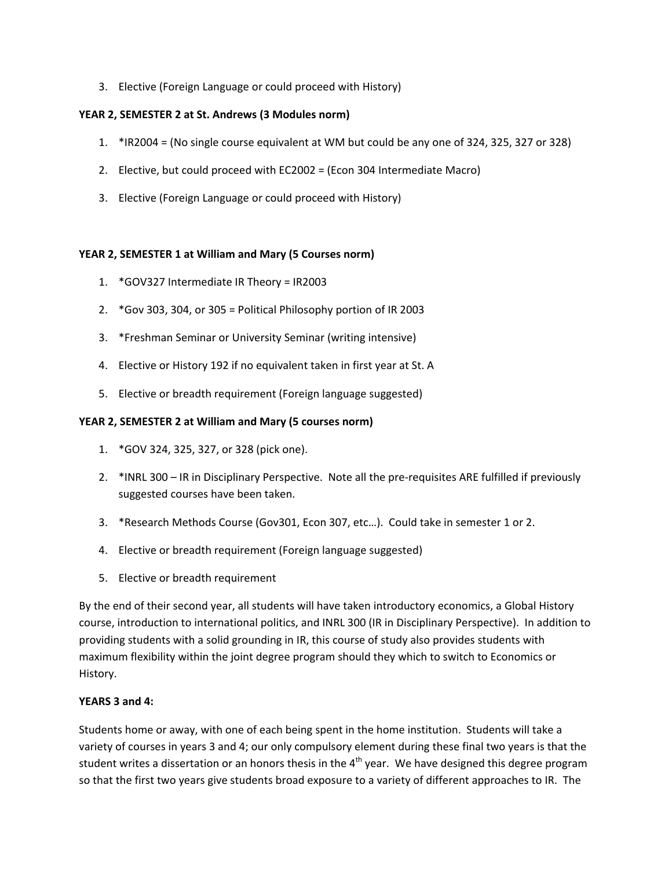3. Elective (Foreign Language or could proceed with History)

#### **YEAR 2, SEMESTER 2 at St. Andrews (3 Modules norm)**

- 1. \*IR2004 = (No single course equivalent at WM but could be any one of 324, 325, 327 or 328)
- 2. Elective, but could proceed with EC2002 = (Econ 304 Intermediate Macro)
- 3. Elective (Foreign Language or could proceed with History)

#### **YEAR 2, SEMESTER 1 at William and Mary (5 Courses norm)**

- 1. \*GOV327 Intermediate IR Theory = IR2003
- 2. \*Gov 303, 304, or 305 = Political Philosophy portion of IR 2003
- 3. \*Freshman Seminar or University Seminar (writing intensive)
- 4. Elective or History 192 if no equivalent taken in first year at St. A
- 5. Elective or breadth requirement (Foreign language suggested)

#### **YEAR 2, SEMESTER 2 at William and Mary (5 courses norm)**

- 1. \*GOV 324, 325, 327, or 328 (pick one).
- 2. \*INRL 300 IR in Disciplinary Perspective. Note all the pre-requisites ARE fulfilled if previously suggested courses have been taken.
- 3. \*Research Methods Course (Gov301, Econ 307, etc…). Could take in semester 1 or 2.
- 4. Elective or breadth requirement (Foreign language suggested)
- 5. Elective or breadth requirement

By the end of their second year, all students will have taken introductory economics, a Global History course, introduction to international politics, and INRL 300 (IR in Disciplinary Perspective). In addition to providing students with a solid grounding in IR, this course of study also provides students with maximum flexibility within the joint degree program should they which to switch to Economics or History.

#### **YEARS 3 and 4:**

Students home or away, with one of each being spent in the home institution. Students will take a variety of courses in years 3 and 4; our only compulsory element during these final two years is that the student writes a dissertation or an honors thesis in the  $4<sup>th</sup>$  year. We have designed this degree program so that the first two years give students broad exposure to a variety of different approaches to IR. The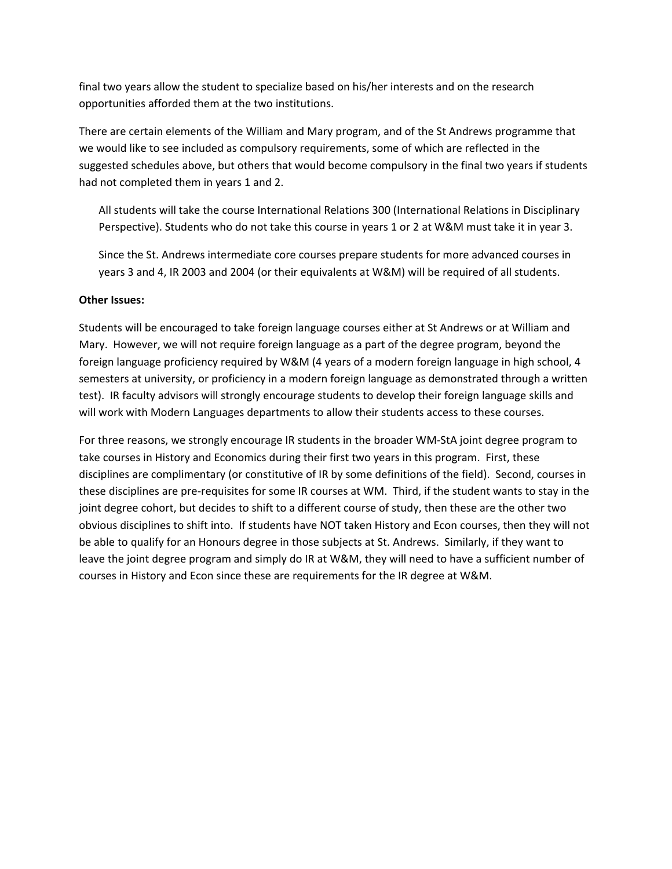final two years allow the student to specialize based on his/her interests and on the research opportunities afforded them at the two institutions.

There are certain elements of the William and Mary program, and of the St Andrews programme that we would like to see included as compulsory requirements, some of which are reflected in the suggested schedules above, but others that would become compulsory in the final two years if students had not completed them in years 1 and 2.

All students will take the course International Relations 300 (International Relations in Disciplinary Perspective). Students who do not take this course in years 1 or 2 at W&M must take it in year 3.

Since the St. Andrews intermediate core courses prepare students for more advanced courses in years 3 and 4, IR 2003 and 2004 (or their equivalents at W&M) will be required of all students.

#### **Other Issues:**

Students will be encouraged to take foreign language courses either at St Andrews or at William and Mary. However, we will not require foreign language as a part of the degree program, beyond the foreign language proficiency required by W&M (4 years of a modern foreign language in high school, 4 semesters at university, or proficiency in a modern foreign language as demonstrated through a written test). IR faculty advisors will strongly encourage students to develop their foreign language skills and will work with Modern Languages departments to allow their students access to these courses.

For three reasons, we strongly encourage IR students in the broader WM‐StA joint degree program to take courses in History and Economics during their first two years in this program. First, these disciplines are complimentary (or constitutive of IR by some definitions of the field). Second, courses in these disciplines are pre‐requisites for some IR courses at WM. Third, if the student wants to stay in the joint degree cohort, but decides to shift to a different course of study, then these are the other two obvious disciplines to shift into. If students have NOT taken History and Econ courses, then they will not be able to qualify for an Honours degree in those subjects at St. Andrews. Similarly, if they want to leave the joint degree program and simply do IR at W&M, they will need to have a sufficient number of courses in History and Econ since these are requirements for the IR degree at W&M.